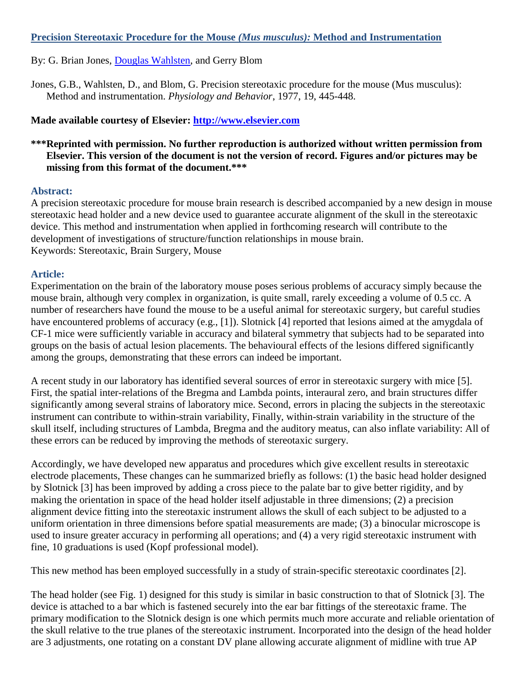## **Precision Stereotaxic Procedure for the Mouse** *(Mus musculus):* **Method and Instrumentation**

By: G. Brian Jones, [Douglas Wahlsten,](http://libres.uncg.edu/ir/uncg/clist.aspx?id=3463) and Gerry Blom

Jones, G.B., Wahlsten, D., and Blom, G. Precision stereotaxic procedure for the mouse (Mus musculus): Method and instrumentation. *Physiology and Behavior*, 1977, 19, 445-448.

## **Made available courtesy of Elsevier: [http://www.elsevier.com](http://www.elsevier.com/)**

# **\*\*\*Reprinted with permission. No further reproduction is authorized without written permission from Elsevier. This version of the document is not the version of record. Figures and/or pictures may be missing from this format of the document.\*\*\***

#### **Abstract:**

A precision stereotaxic procedure for mouse brain research is described accompanied by a new design in mouse stereotaxic head holder and a new device used to guarantee accurate alignment of the skull in the stereotaxic device. This method and instrumentation when applied in forthcoming research will contribute to the development of investigations of structure/function relationships in mouse brain. Keywords: Stereotaxic, Brain Surgery, Mouse

#### **Article:**

Experimentation on the brain of the laboratory mouse poses serious problems of accuracy simply because the mouse brain, although very complex in organization, is quite small, rarely exceeding a volume of 0.5 cc. A number of researchers have found the mouse to be a useful animal for stereotaxic surgery, but careful studies have encountered problems of accuracy (e.g., [1]). Slotnick [4] reported that lesions aimed at the amygdala of CF-1 mice were sufficiently variable in accuracy and bilateral symmetry that subjects had to be separated into groups on the basis of actual lesion placements. The behavioural effects of the lesions differed significantly among the groups, demonstrating that these errors can indeed be important.

A recent study in our laboratory has identified several sources of error in stereotaxic surgery with mice [5]. First, the spatial inter-relations of the Bregma and Lambda points, interaural zero, and brain structures differ significantly among several strains of laboratory mice. Second, errors in placing the subjects in the stereotaxic instrument can contribute to within-strain variability, Finally, within-strain variability in the structure of the skull itself, including structures of Lambda, Bregma and the auditory meatus, can also inflate variability: All of these errors can be reduced by improving the methods of stereotaxic surgery.

Accordingly, we have developed new apparatus and procedures which give excellent results in stereotaxic electrode placements, These changes can he summarized briefly as follows: (1) the basic head holder designed by Slotnick [3] has been improved by adding a cross piece to the palate bar to give better rigidity, and by making the orientation in space of the head holder itself adjustable in three dimensions; (2) a precision alignment device fitting into the stereotaxic instrument allows the skull of each subject to be adjusted to a uniform orientation in three dimensions before spatial measurements are made; (3) a binocular microscope is used to insure greater accuracy in performing all operations; and (4) a very rigid stereotaxic instrument with fine, 10 graduations is used (Kopf professional model).

This new method has been employed successfully in a study of strain-specific stereotaxic coordinates [2].

The head holder (see Fig. 1) designed for this study is similar in basic construction to that of Slotnick [3]. The device is attached to a bar which is fastened securely into the ear bar fittings of the stereotaxic frame. The primary modification to the Slotnick design is one which permits much more accurate and reliable orientation of the skull relative to the true planes of the stereotaxic instrument. Incorporated into the design of the head holder are 3 adjustments, one rotating on a constant DV plane allowing accurate alignment of midline with true AP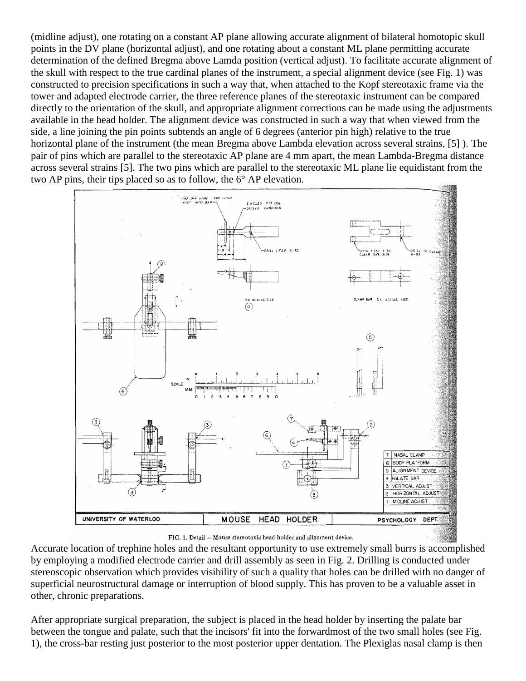(midline adjust), one rotating on a constant AP plane allowing accurate alignment of bilateral homotopic skull points in the DV plane (horizontal adjust), and one rotating about a constant ML plane permitting accurate determination of the defined Bregma above Lamda position (vertical adjust). To facilitate accurate alignment of the skull with respect to the true cardinal planes of the instrument, a special alignment device (see Fig. 1) was constructed to precision specifications in such a way that, when attached to the Kopf stereotaxic frame via the tower and adapted electrode carrier, the three reference planes of the stereotaxic instrument can be compared directly to the orientation of the skull, and appropriate alignment corrections can be made using the adjustments available in the head holder. The alignment device was constructed in such a way that when viewed from the side, a line joining the pin points subtends an angle of 6 degrees (anterior pin high) relative to the true horizontal plane of the instrument (the mean Bregma above Lambda elevation across several strains, [5] ). The pair of pins which are parallel to the stereotaxic AP plane are 4 mm apart, the mean Lambda-Bregma distance across several strains [5]. The two pins which are parallel to the stereotaxic ML plane lie equidistant from the two AP pins, their tips placed so as to follow, the 6° AP elevation.



FIG. 1. Detail - Mouse stereotaxic head holder and alignment device.

Accurate location of trephine holes and the resultant opportunity to use extremely small burrs is accomplished by employing a modified electrode carrier and drill assembly as seen in Fig. 2. Drilling is conducted under stereoscopic observation which provides visibility of such a quality that holes can be drilled with no danger of superficial neurostructural damage or interruption of blood supply. This has proven to be a valuable asset in other, chronic preparations.

After appropriate surgical preparation, the subject is placed in the head holder by inserting the palate bar between the tongue and palate, such that the incisors' fit into the forwardmost of the two small holes (see Fig. 1), the cross-bar resting just posterior to the most posterior upper dentation. The Plexiglas nasal clamp is then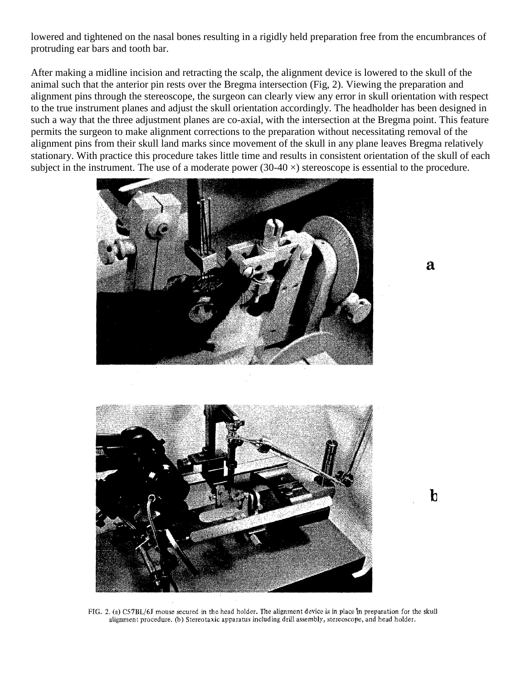lowered and tightened on the nasal bones resulting in a rigidly held preparation free from the encumbrances of protruding ear bars and tooth bar.

After making a midline incision and retracting the scalp, the alignment device is lowered to the skull of the animal such that the anterior pin rests over the Bregma intersection (Fig, 2). Viewing the preparation and alignment pins through the stereoscope, the surgeon can clearly view any error in skull orientation with respect to the true instrument planes and adjust the skull orientation accordingly. The headholder has been designed in such a way that the three adjustment planes are co-axial, with the intersection at the Bregma point. This feature permits the surgeon to make alignment corrections to the preparation without necessitating removal of the alignment pins from their skull land marks since movement of the skull in any plane leaves Bregma relatively stationary. With practice this procedure takes little time and results in consistent orientation of the skull of each subject in the instrument. The use of a moderate power  $(30-40 \times)$  stereoscope is essential to the procedure.



 $\mathbf{a}$ 



FIG. 2. (a) C57BL/6J mouse secured in the head holder. The alignment device is in place in preparation for the skull alignment procedure. (b) Stereotaxic apparatus including drill assembly, stereoscope, and head holder.

 $\mathbf b$